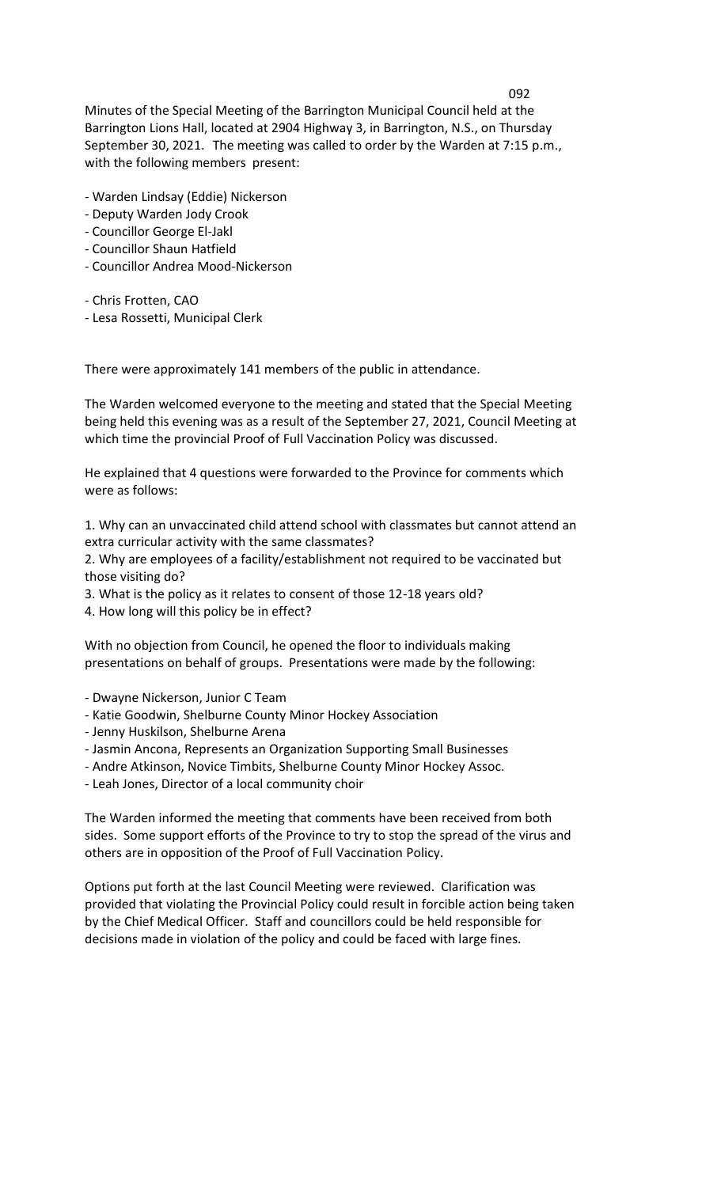Minutes of the Special Meeting of the Barrington Municipal Council held at the Barrington Lions Hall, located at 2904 Highway 3, in Barrington, N.S., on Thursday September 30, 2021. The meeting was called to order by the Warden at 7:15 p.m., with the following members present:

- Warden Lindsay (Eddie) Nickerson
- Deputy Warden Jody Crook
- Councillor George El-Jakl
- Councillor Shaun Hatfield
- Councillor Andrea Mood-Nickerson
- Chris Frotten, CAO
- Lesa Rossetti, Municipal Clerk

There were approximately 141 members of the public in attendance.

The Warden welcomed everyone to the meeting and stated that the Special Meeting being held this evening was as a result of the September 27, 2021, Council Meeting at which time the provincial Proof of Full Vaccination Policy was discussed.

He explained that 4 questions were forwarded to the Province for comments which were as follows:

1. Why can an unvaccinated child attend school with classmates but cannot attend an extra curricular activity with the same classmates?

2. Why are employees of a facility/establishment not required to be vaccinated but those visiting do?

3. What is the policy as it relates to consent of those 12-18 years old?

4. How long will this policy be in effect?

With no objection from Council, he opened the floor to individuals making presentations on behalf of groups. Presentations were made by the following:

- Dwayne Nickerson, Junior C Team

- Katie Goodwin, Shelburne County Minor Hockey Association
- Jenny Huskilson, Shelburne Arena
- Jasmin Ancona, Represents an Organization Supporting Small Businesses
- Andre Atkinson, Novice Timbits, Shelburne County Minor Hockey Assoc.
- Leah Jones, Director of a local community choir

The Warden informed the meeting that comments have been received from both sides. Some support efforts of the Province to try to stop the spread of the virus and others are in opposition of the Proof of Full Vaccination Policy.

Options put forth at the last Council Meeting were reviewed. Clarification was provided that violating the Provincial Policy could result in forcible action being taken by the Chief Medical Officer. Staff and councillors could be held responsible for decisions made in violation of the policy and could be faced with large fines.

## 092